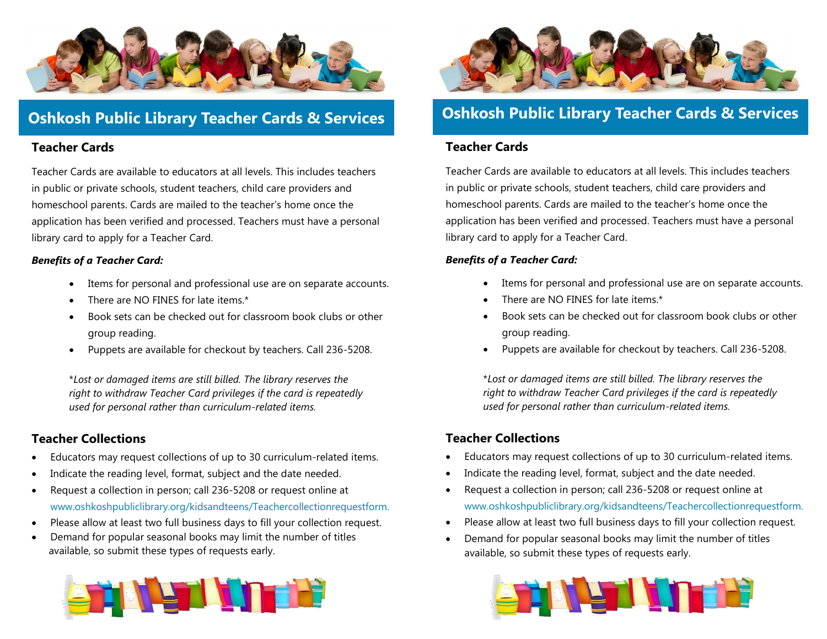

# **Oshkosh Public Library Teacher Cards & Services**

## **Teacher Cards**

Teacher Cards are available to educators at all levels. This includes teachers in public or private schools, student teachers, child care providers and homeschool parents. Cards are mailed to the teacher's home once the application has been verified and processed. Teachers must have a personal library card to apply for a Teacher Card.

### *Benefits of a Teacher Card:*

- Items for personal and professional use are on separate accounts.
- There are NO FINES for late items.\*
- Book sets can be checked out for classroom book clubs or other group reading.
- Puppets are available for checkout by teachers. Call 236-5208.

\**Lost or damaged items are still billed. The library reserves the right to withdraw Teacher Card privileges if the card is repeatedly used for personal rather than curriculum-related items.*

## **Teacher Collections**

- Educators may request collections of up to 30 curriculum-related items.
- Indicate the reading level, format, subject and the date needed.
- Request a collection in person; call 236-5208 or request online at www.oshkoshpubliclibrary.org/kidsandteens/Teachercollectionrequestform.
- Please allow at least two full business days to fill your collection request.
- Demand for popular seasonal books may limit the number of titles available, so submit these types of requests early.





# **Oshkosh Public Library Teacher Cards & Services**

## **Teacher Cards**

Teacher Cards are available to educators at all levels. This includes teachers in public or private schools, student teachers, child care providers and homeschool parents. Cards are mailed to the teacher's home once the application has been verified and processed. Teachers must have a personal library card to apply for a Teacher Card.

### *Benefits of a Teacher Card:*

- Items for personal and professional use are on separate accounts.
- There are NO FINES for late items.\*
- Book sets can be checked out for classroom book clubs or other group reading.
- Puppets are available for checkout by teachers. Call 236-5208.

\**Lost or damaged items are still billed. The library reserves the right to withdraw Teacher Card privileges if the card is repeatedly used for personal rather than curriculum-related items.*

## **Teacher Collections**

- Educators may request collections of up to 30 curriculum-related items.
- Indicate the reading level, format, subject and the date needed.
- Request a collection in person; call 236-5208 or request online at www.oshkoshpubliclibrary.org/kidsandteens/Teachercollectionrequestform.
- Please allow at least two full business days to fill your collection request.
- Demand for popular seasonal books may limit the number of titles available, so submit these types of requests early.